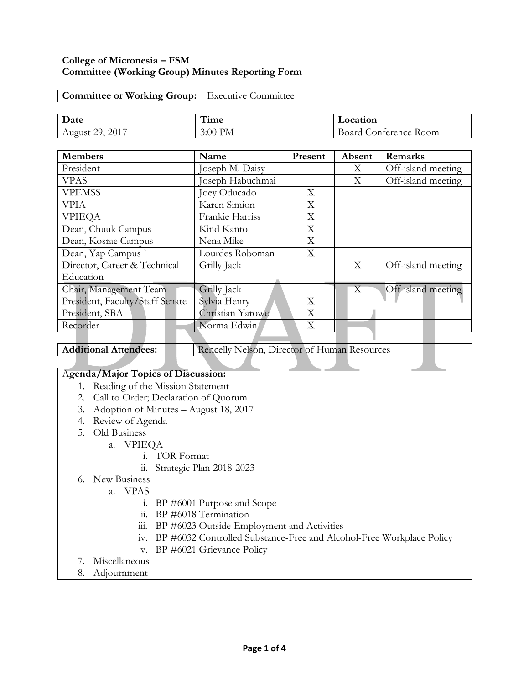## **College of Micronesia – FSM Committee (Working Group) Minutes Reporting Form**

| <b>Committee or Working Group:</b>   Executive Committee |  |
|----------------------------------------------------------|--|
|                                                          |  |

| Date                      | ,,,,<br>1 ıme | Location                    |
|---------------------------|---------------|-----------------------------|
| 2017<br>າດ<br>August<br>- | 3:00<br>' PM  | Room<br>onterence.<br>`oard |

| <b>Members</b>                  | Name             | Present | Absent                    | Remarks            |
|---------------------------------|------------------|---------|---------------------------|--------------------|
| President                       | Joseph M. Daisy  |         | X                         | Off-island meeting |
| <b>VPAS</b>                     | Joseph Habuchmai |         | X                         | Off-island meeting |
| <b>VPEMSS</b>                   | Joey Oducado     | X       |                           |                    |
| <b>VPIA</b>                     | Karen Simion     | X       |                           |                    |
| <b>VPIEOA</b>                   | Frankie Harriss  | X       |                           |                    |
| Dean, Chuuk Campus              | Kind Kanto       | X       |                           |                    |
| Dean, Kosrae Campus             | Nena Mike        | X       |                           |                    |
| Dean, Yap Campus                | Lourdes Roboman  | X       |                           |                    |
| Director, Career & Technical    | Grilly Jack      |         | X                         | Off-island meeting |
| Education                       |                  |         |                           |                    |
| Chair, Management Team          | Grilly Jack      |         | $\boldsymbol{\mathrm{X}}$ | Off-island meeting |
| President, Faculty/Staff Senate | Sylvia Henry     | X       |                           |                    |
| President, SBA                  | Christian Yarowe | X       |                           |                    |
| Recorder                        | Norma Edwin      | X       |                           |                    |
|                                 |                  |         |                           |                    |

Additional Attendees: Rencelly Nelson, Director of Human Resources

## A**genda/Major Topics of Discussion:**

- 1. Reading of the Mission Statement
- 2. Call to Order; Declaration of Quorum
- 3. Adoption of Minutes August 18, 2017
- 4. Review of Agenda
- 5. Old Business
	- a. VPIEQA
		- i. TOR Format
		- ii. Strategic Plan 2018-2023
- 6. New Business
	- a. VPAS
		- i. BP #6001 Purpose and Scope
		- ii. BP #6018 Termination
		- iii. BP #6023 Outside Employment and Activities
		- iv. BP #6032 Controlled Substance-Free and Alcohol-Free Workplace Policy
		- v. BP #6021 Grievance Policy
- 7. Miscellaneous
- 8. Adjournment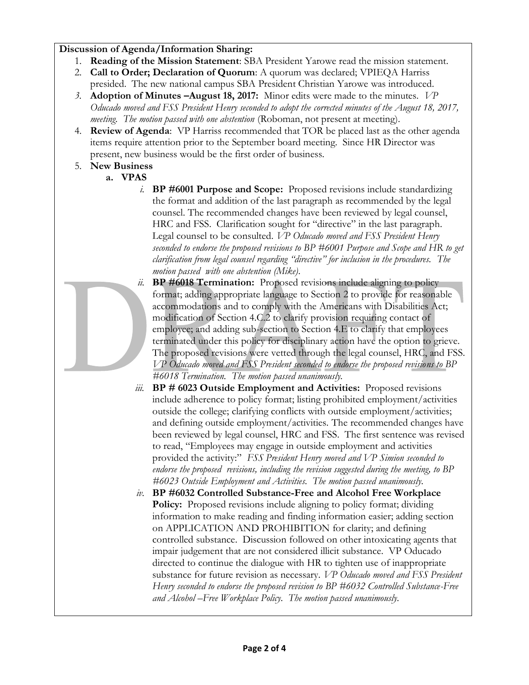## **Discussion of Agenda/Information Sharing:**

- 1. **Reading of the Mission Statement**: SBA President Yarowe read the mission statement.
- 2. **Call to Order; Declaration of Quorum**: A quorum was declared; VPIEQA Harriss presided. The new national campus SBA President Christian Yarowe was introduced.
- *3.* **Adoption of Minutes –August 18, 2017:** Minor edits were made to the minutes. *VP Oducado moved and FSS President Henry seconded to adopt the corrected minutes of the August 18, 2017, meeting. The motion passed with one abstention* (Roboman, not present at meeting).
- 4. **Review of Agenda**: VP Harriss recommended that TOR be placed last as the other agenda items require attention prior to the September board meeting. Since HR Director was present, new business would be the first order of business.
- 5. **New Business**
	- **a. VPAS**
		- *i.* **BP #6001 Purpose and Scope:** Proposed revisions include standardizing the format and addition of the last paragraph as recommended by the legal counsel. The recommended changes have been reviewed by legal counsel, HRC and FSS. Clarification sought for "directive" in the last paragraph. Legal counsel to be consulted. *VP Oducado moved and FSS President Henry seconded to endorse the proposed revisions to BP #6001 Purpose and Scope and HR to get clarification from legal counsel regarding "directive" for inclusion in the procedures. The motion passed with one abstention (Mike).*

*iii.* **BP # 6023 Outside Employment and Activities:** Proposed revisions

to read, "Employees may engage in outside employment and activities provided the activity:" *FSS President Henry moved and VP Simion seconded to endorse the proposed revisions, including the revision suggested during the meeting, to BP* 

*#6023 Outside Employment and Activities. The motion passed unanimously. iv.* **BP #6032 Controlled Substance-Free and Alcohol Free Workplace Policy:** Proposed revisions include aligning to policy format; dividing information to make reading and finding information easier; adding section

on APPLICATION AND PROHIBITION for clarity; and defining

controlled substance. Discussion followed on other intoxicating agents that impair judgement that are not considered illicit substance. VP Oducado directed to continue the dialogue with HR to tighten use of inappropriate substance for future revision as necessary. *VP Oducado moved and FSS President Henry seconded to endorse the proposed revision to BP #6032 Controlled Substance-Free* 

include adherence to policy format; listing prohibited employment/activities outside the college; clarifying conflicts with outside employment/activities; and defining outside employment/activities. The recommended changes have been reviewed by legal counsel, HRC and FSS. The first sentence was revised

- 
- *ii.* **BP #6018 Termination:**Proposed revisions include aligning to policy format; adding appropriate language to Section 2 to provide for reasonable accommodations and to comply with the Americans with Disabilities Act; modification of Section 4.C.2 to clarify provision requiring contact of employee; and adding sub-section to Section 4.E to clarify that employees terminated under this policy for disciplinary action have the option to grieve. The proposed revisions were vetted through the legal counsel, HRC, and FSS. *VP Oducado moved and FSS President seconded to endorse the proposed revisions to BP #6018 Termination. The motion passed unanimously.*

**Page 2 of 4**

*and Alcohol –Free Workplace Policy. The motion passed unanimously.*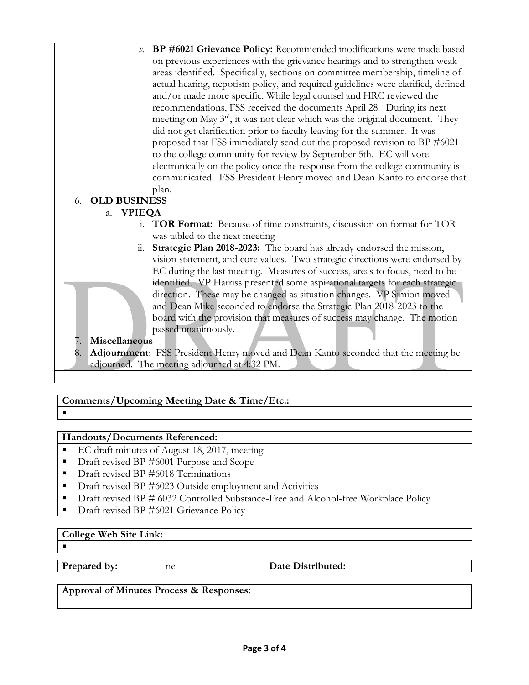*v.* **BP #6021 Grievance Policy:** Recommended modifications were made based on previous experiences with the grievance hearings and to strengthen weak areas identified. Specifically, sections on committee membership, timeline of actual hearing, nepotism policy, and required guidelines were clarified, defined and/or made more specific. While legal counsel and HRC reviewed the recommendations, FSS received the documents April 28. During its next meeting on May 3<sup>rd</sup>, it was not clear which was the original document. They did not get clarification prior to faculty leaving for the summer. It was proposed that FSS immediately send out the proposed revision to BP #6021 to the college community for review by September 5th. EC will vote electronically on the policy once the response from the college community is communicated. FSS President Henry moved and Dean Kanto to endorse that plan.

# 6. **OLD BUSINESS**

## a. **VPIEQA**

- i. **TOR Format:** Because of time constraints, discussion on format for TOR was tabled to the next meeting
- ii. **Strategic Plan 2018-2023:** The board has already endorsed the mission, vision statement, and core values. Two strategic directions were endorsed by EC during the last meeting. Measures of success, areas to focus, need to be identified. VP Harriss presented some aspirational targets for each strategic direction. These may be changed as situation changes. VP Simion moved and Dean Mike seconded to endorse the Strategic Plan 2018-2023 to the board with the provision that measures of success may change. The motion passed unanimously.

## 7. **Miscellaneous**

8. **Adjournment**: FSS President Henry moved and Dean Kanto seconded that the meeting be adjourned. The meeting adjourned at 4:32 PM.

# **Comments/Upcoming Meeting Date & Time/Etc.:**

## **Handouts/Documents Referenced:**

- EC draft minutes of August 18, 2017, meeting
- Draft revised BP #6001 Purpose and Scope
- Draft revised BP #6018 Terminations
- Draft revised BP #6023 Outside employment and Activities
- Draft revised BP # 6032 Controlled Substance-Free and Alcohol-free Workplace Policy
- Draft revised BP #6021 Grievance Policy

## **College Web Site Link:**

 $\blacksquare$ 

 $\blacksquare$ 

**Prepared by:** ne **Date Distributed:** 

## **Approval of Minutes Process & Responses:**